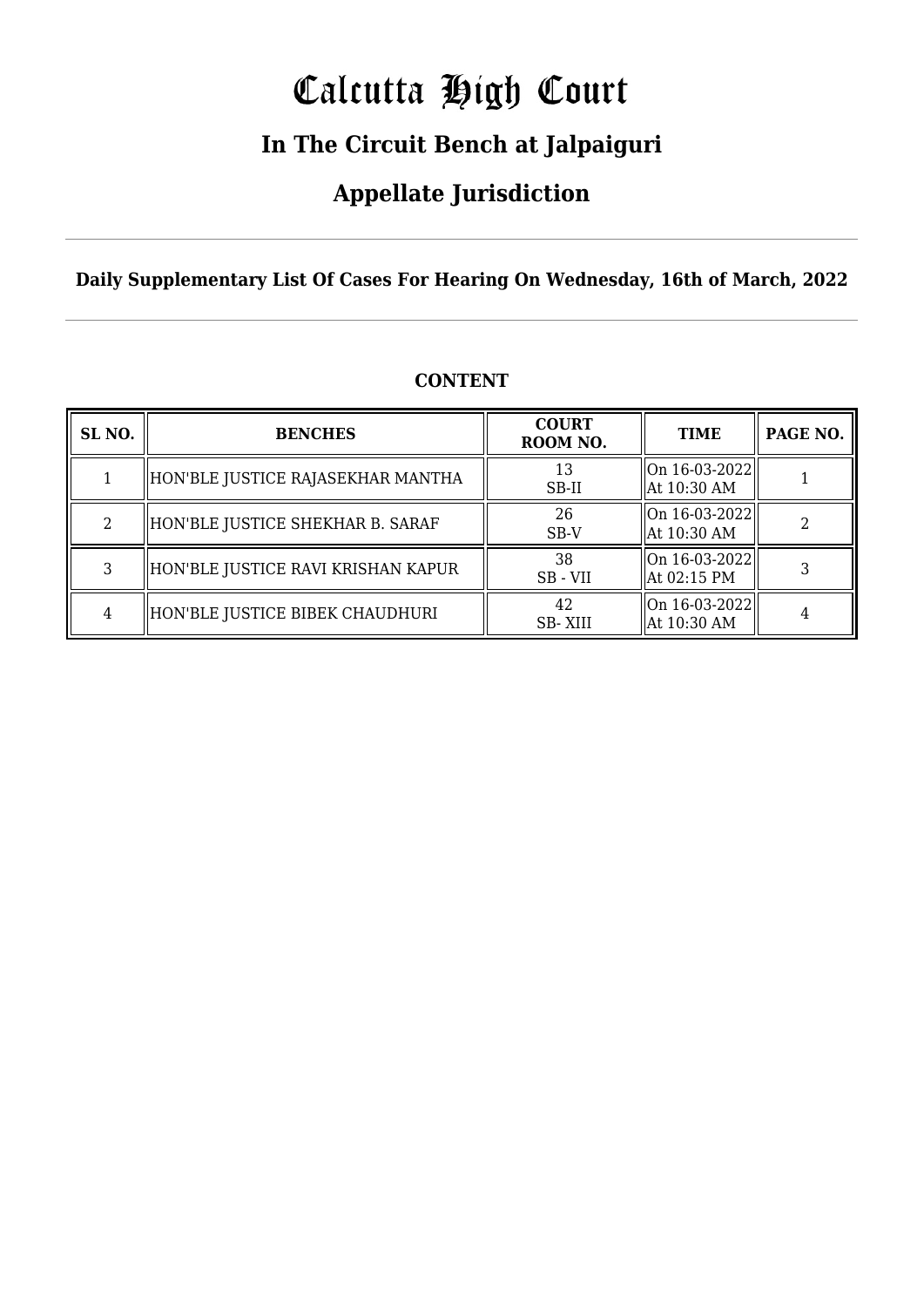# Calcutta High Court

### **In The Circuit Bench at Jalpaiguri**

### **Appellate Jurisdiction**

**Daily Supplementary List Of Cases For Hearing On Wednesday, 16th of March, 2022**

| SL <sub>NO.</sub> | <b>BENCHES</b>                     | <b>COURT</b><br>ROOM NO. | <b>TIME</b>                      | PAGE NO. |
|-------------------|------------------------------------|--------------------------|----------------------------------|----------|
|                   | HON'BLE JUSTICE RAJASEKHAR MANTHA  | 13<br>SB-II              | On 16-03-2022  <br>  At 10:30 AM |          |
| 2                 | HON'BLE JUSTICE SHEKHAR B. SARAF   | 26<br>SB-V               | On 16-03-2022  <br>  At 10:30 AM |          |
| 3                 | HON'BLE JUSTICE RAVI KRISHAN KAPUR | 38<br>SB - VII           | On 16-03-2022  <br>  At 02:15 PM |          |
| 4                 | HON'BLE JUSTICE BIBEK CHAUDHURI    | 42<br>SB-XIII            | On 16-03-2022  <br>  At 10:30 AM |          |

### **CONTENT**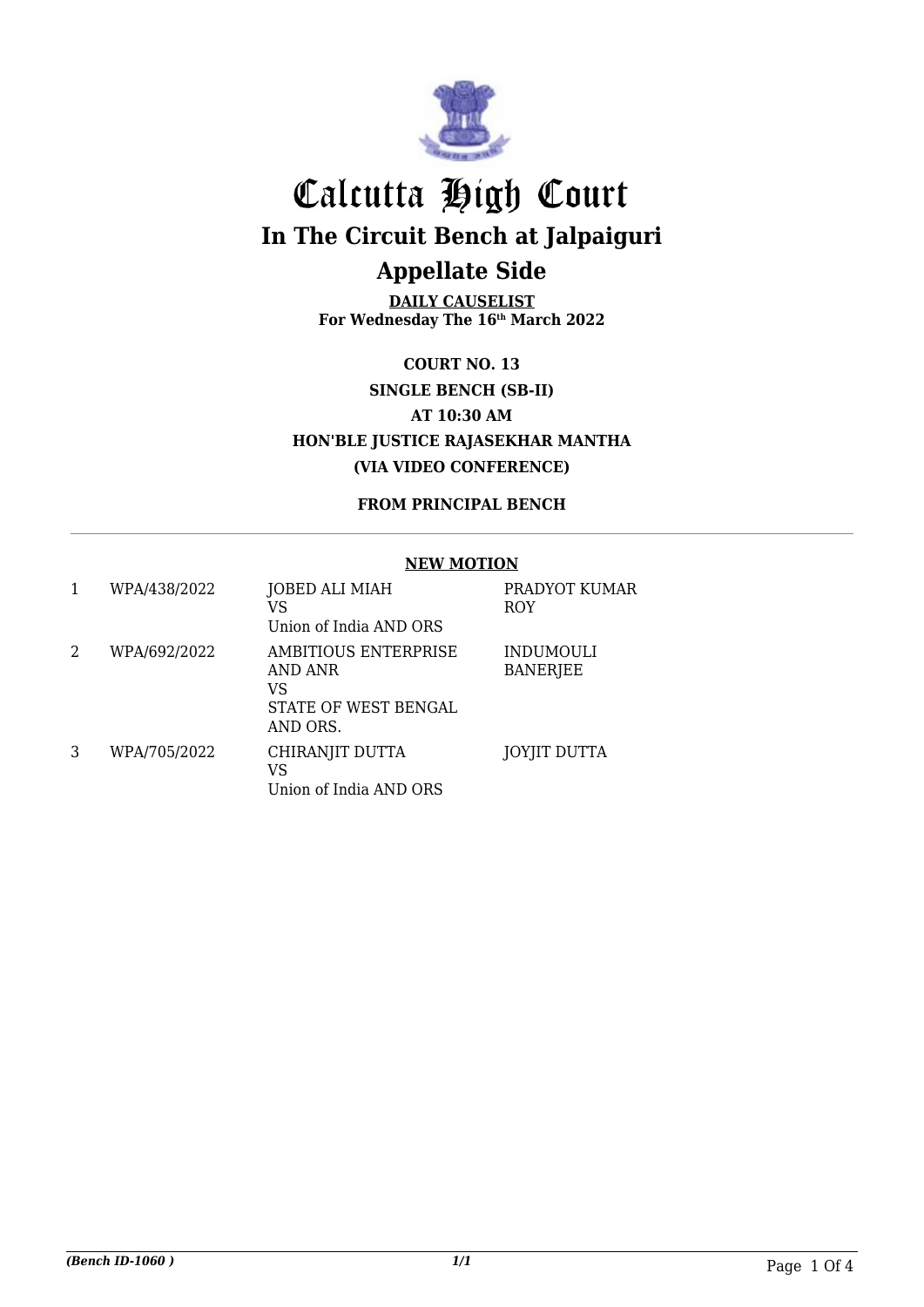

**DAILY CAUSELIST For Wednesday The 16th March 2022**

**COURT NO. 13 SINGLE BENCH (SB-II) AT 10:30 AM HON'BLE JUSTICE RAJASEKHAR MANTHA (VIA VIDEO CONFERENCE)**

**FROM PRINCIPAL BENCH**

#### **NEW MOTION**

|   | WPA/438/2022 | <b>JOBED ALI MIAH</b><br>VS<br>Union of India AND ORS                     | PRADYOT KUMAR<br><b>ROY</b>         |
|---|--------------|---------------------------------------------------------------------------|-------------------------------------|
| 2 | WPA/692/2022 | AMBITIOUS ENTERPRISE<br>AND ANR<br>VS<br>STATE OF WEST BENGAL<br>AND ORS. | <b>INDUMOULI</b><br><b>BANERJEE</b> |
| 3 | WPA/705/2022 | CHIRANJIT DUTTA<br>VS<br>Union of India AND ORS                           | <b>JOYJIT DUTTA</b>                 |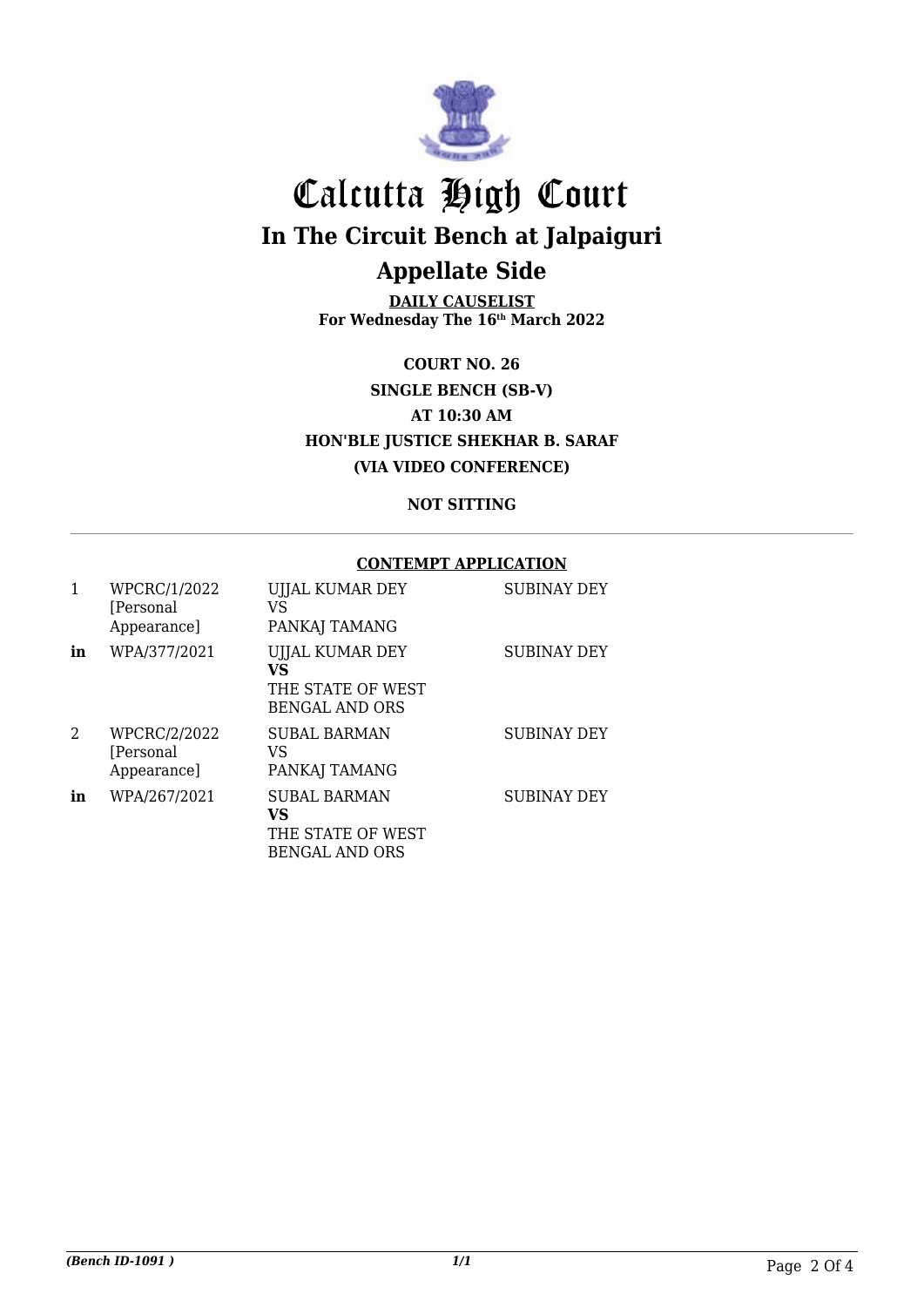

**DAILY CAUSELIST For Wednesday The 16th March 2022**

**COURT NO. 26 SINGLE BENCH (SB-V) AT 10:30 AM HON'BLE JUSTICE SHEKHAR B. SARAF (VIA VIDEO CONFERENCE)**

**NOT SITTING**

#### **CONTEMPT APPLICATION**

|               | WPCRC/1/2022<br>[Personal]<br>Appearance] | UJJAL KUMAR DEY<br>VS<br>PANKAJ TAMANG                                   | <b>SUBINAY DEY</b> |
|---------------|-------------------------------------------|--------------------------------------------------------------------------|--------------------|
| in            | WPA/377/2021                              | UJJAL KUMAR DEY<br>VS<br>THE STATE OF WEST<br><b>BENGAL AND ORS</b>      | <b>SUBINAY DEY</b> |
| $\mathcal{L}$ | WPCRC/2/2022<br>[Personal]<br>Appearance] | SUBAL BARMAN<br>VS<br>PANKAJ TAMANG                                      | <b>SUBINAY DEY</b> |
| in            | WPA/267/2021                              | <b>SUBAL BARMAN</b><br>VS.<br>THE STATE OF WEST<br><b>BENGAL AND ORS</b> | <b>SUBINAY DEY</b> |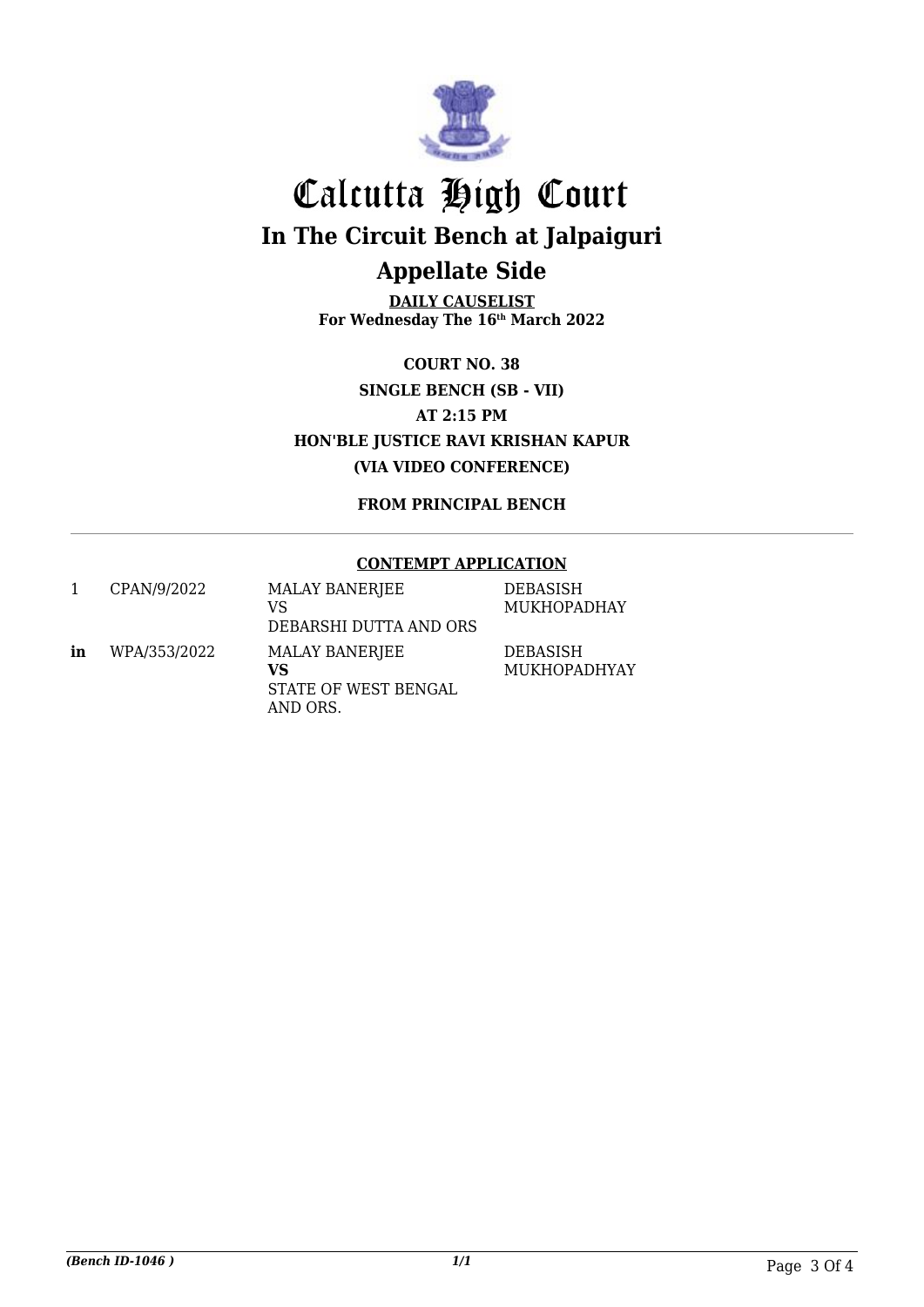

**DAILY CAUSELIST For Wednesday The 16th March 2022**

**COURT NO. 38 SINGLE BENCH (SB - VII) AT 2:15 PM HON'BLE JUSTICE RAVI KRISHAN KAPUR (VIA VIDEO CONFERENCE)**

**FROM PRINCIPAL BENCH**

#### **CONTEMPT APPLICATION**

|    | CPAN/9/2022  | <b>MALAY BANERJEE</b><br>VS<br>DEBARSHI DUTTA AND ORS    | <b>DEBASISH</b><br><b>MUKHOPADHAY</b> |
|----|--------------|----------------------------------------------------------|---------------------------------------|
| in | WPA/353/2022 | MALAY BANERJEE<br>VS<br>STATE OF WEST BENGAL<br>AND ORS. | DEBASISH<br>MUKHOPADHYAY              |